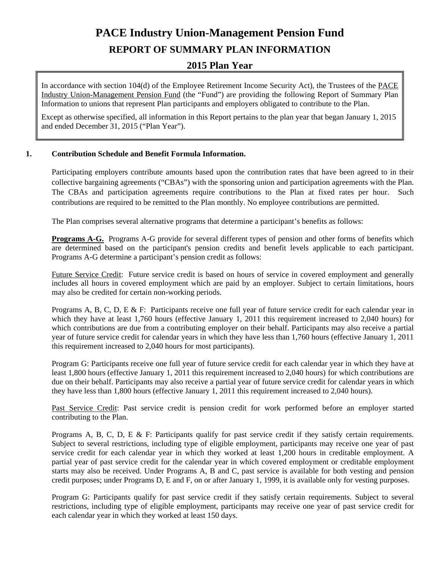# **PACE Industry Union-Management Pension Fund**

# **REPORT OF SUMMARY PLAN INFORMATION**

## **2015 Plan Year**

In accordance with section 104(d) of the Employee Retirement Income Security Act), the Trustees of the PACE Industry Union-Management Pension Fund (the "Fund") are providing the following Report of Summary Plan Information to unions that represent Plan participants and employers obligated to contribute to the Plan.

Except as otherwise specified, all information in this Report pertains to the plan year that began January 1, 2015 and ended December 31, 2015 ("Plan Year").

## **1. Contribution Schedule and Benefit Formula Information.**

 Participating employers contribute amounts based upon the contribution rates that have been agreed to in their collective bargaining agreements ("CBAs") with the sponsoring union and participation agreements with the Plan. The CBAs and participation agreements require contributions to the Plan at fixed rates per hour. Such contributions are required to be remitted to the Plan monthly. No employee contributions are permitted.

The Plan comprises several alternative programs that determine a participant's benefits as follows:

**Programs A-G.** Programs A-G provide for several different types of pension and other forms of benefits which are determined based on the participant's pension credits and benefit levels applicable to each participant. Programs A-G determine a participant's pension credit as follows:

Future Service Credit: Future service credit is based on hours of service in covered employment and generally includes all hours in covered employment which are paid by an employer. Subject to certain limitations, hours may also be credited for certain non-working periods.

Programs A, B, C, D, E & F: Participants receive one full year of future service credit for each calendar year in which they have at least 1,760 hours (effective January 1, 2011 this requirement increased to 2,040 hours) for which contributions are due from a contributing employer on their behalf. Participants may also receive a partial year of future service credit for calendar years in which they have less than 1,760 hours (effective January 1, 2011 this requirement increased to 2,040 hours for most participants).

Program G: Participants receive one full year of future service credit for each calendar year in which they have at least 1,800 hours (effective January 1, 2011 this requirement increased to 2,040 hours) for which contributions are due on their behalf. Participants may also receive a partial year of future service credit for calendar years in which they have less than 1,800 hours (effective January 1, 2011 this requirement increased to 2,040 hours).

Past Service Credit: Past service credit is pension credit for work performed before an employer started contributing to the Plan.

Programs A, B, C, D, E & F: Participants qualify for past service credit if they satisfy certain requirements. Subject to several restrictions, including type of eligible employment, participants may receive one year of past service credit for each calendar year in which they worked at least 1,200 hours in creditable employment. A partial year of past service credit for the calendar year in which covered employment or creditable employment starts may also be received. Under Programs A, B and C, past service is available for both vesting and pension credit purposes; under Programs D, E and F, on or after January 1, 1999, it is available only for vesting purposes.

Program G: Participants qualify for past service credit if they satisfy certain requirements. Subject to several restrictions, including type of eligible employment, participants may receive one year of past service credit for each calendar year in which they worked at least 150 days.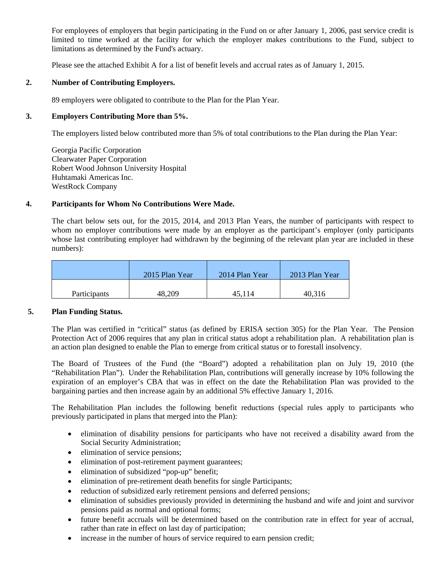For employees of employers that begin participating in the Fund on or after January 1, 2006, past service credit is limited to time worked at the facility for which the employer makes contributions to the Fund, subject to limitations as determined by the Fund's actuary.

Please see the attached Exhibit A for a list of benefit levels and accrual rates as of January 1, 2015.

### **2. Number of Contributing Employers.**

89 employers were obligated to contribute to the Plan for the Plan Year.

### **3. Employers Contributing More than 5%.**

The employers listed below contributed more than 5% of total contributions to the Plan during the Plan Year:

 Georgia Pacific Corporation Clearwater Paper Corporation Robert Wood Johnson University Hospital Huhtamaki Americas Inc. WestRock Company

#### **4. Participants for Whom No Contributions Were Made.**

The chart below sets out, for the 2015, 2014, and 2013 Plan Years, the number of participants with respect to whom no employer contributions were made by an employer as the participant's employer (only participants) whose last contributing employer had withdrawn by the beginning of the relevant plan year are included in these numbers):

|              | 2015 Plan Year | 2014 Plan Year | 2013 Plan Year |
|--------------|----------------|----------------|----------------|
| Participants | 48.209         | 45.114         | 40,316         |

#### **5. Plan Funding Status.**

The Plan was certified in "critical" status (as defined by ERISA section 305) for the Plan Year. The Pension Protection Act of 2006 requires that any plan in critical status adopt a rehabilitation plan. A rehabilitation plan is an action plan designed to enable the Plan to emerge from critical status or to forestall insolvency.

The Board of Trustees of the Fund (the "Board") adopted a rehabilitation plan on July 19, 2010 (the "Rehabilitation Plan"). Under the Rehabilitation Plan, contributions will generally increase by 10% following the expiration of an employer's CBA that was in effect on the date the Rehabilitation Plan was provided to the bargaining parties and then increase again by an additional 5% effective January 1, 2016.

The Rehabilitation Plan includes the following benefit reductions (special rules apply to participants who previously participated in plans that merged into the Plan):

- elimination of disability pensions for participants who have not received a disability award from the Social Security Administration;
- elimination of service pensions;
- elimination of post-retirement payment guarantees;
- elimination of subsidized "pop-up" benefit;
- elimination of pre-retirement death benefits for single Participants;
- reduction of subsidized early retirement pensions and deferred pensions;
- elimination of subsidies previously provided in determining the husband and wife and joint and survivor pensions paid as normal and optional forms;
- future benefit accruals will be determined based on the contribution rate in effect for year of accrual, rather than rate in effect on last day of participation;
- increase in the number of hours of service required to earn pension credit;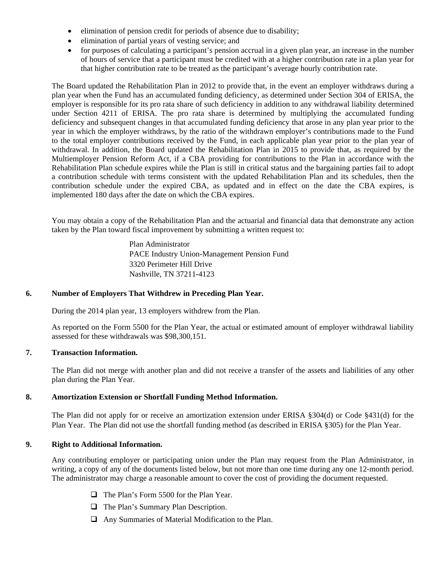- elimination of pension credit for periods of absence due to disability;
- elimination of partial years of vesting service; and
- for purposes of calculating a participant's pension accrual in a given plan year, an increase in the number of hours of service that a participant must be credited with at a higher contribution rate in a plan year for that higher contribution rate to be treated as the participant's average hourly contribution rate.

The Board updated the Rehabilitation Plan in 2012 to provide that, in the event an employer withdraws during a plan year when the Fund has an accumulated funding deficiency, as determined under Section 304 of ERISA, the employer is responsible for its pro rata share of such deficiency in addition to any withdrawal liability determined under Section 4211 of ERISA. The pro rata share is determined by multiplying the accumulated funding deficiency and subsequent changes in that accumulated funding deficiency that arose in any plan year prior to the year in which the employer withdraws, by the ratio of the withdrawn employer's contributions made to the Fund to the total employer contributions received by the Fund, in each applicable plan year prior to the plan year of withdrawal. In addition, the Board updated the Rehabilitation Plan in 2015 to provide that, as required by the Multiemployer Pension Reform Act, if a CBA providing for contributions to the Plan in accordance with the Rehabilitation Plan schedule expires while the Plan is still in critical status and the bargaining parties fail to adopt a contribution schedule with terms consistent with the updated Rehabilitation Plan and its schedules, then the contribution schedule under the expired CBA, as updated and in effect on the date the CBA expires, is implemented 180 days after the date on which the CBA expires.

You may obtain a copy of the Rehabilitation Plan and the actuarial and financial data that demonstrate any action taken by the Plan toward fiscal improvement by submitting a written request to:

> Plan Administrator PACE Industry Union-Management Pension Fund 3320 Perimeter Hill Drive Nashville, TN 37211-4123

#### **6. Number of Employers That Withdrew in Preceding Plan Year.**

During the 2014 plan year, 13 employers withdrew from the Plan.

 As reported on the Form 5500 for the Plan Year, the actual or estimated amount of employer withdrawal liability assessed for these withdrawals was \$98,300,151.

#### **7. Transaction Information.**

The Plan did not merge with another plan and did not receive a transfer of the assets and liabilities of any other plan during the Plan Year.

#### **8. Amortization Extension or Shortfall Funding Method Information.**

The Plan did not apply for or receive an amortization extension under ERISA §304(d) or Code §431(d) for the Plan Year. The Plan did not use the shortfall funding method (as described in ERISA §305) for the Plan Year.

#### **9. Right to Additional Information.**

Any contributing employer or participating union under the Plan may request from the Plan Administrator, in writing, a copy of any of the documents listed below, but not more than one time during any one 12-month period. The administrator may charge a reasonable amount to cover the cost of providing the document requested.

- The Plan's Form 5500 for the Plan Year.
- $\Box$  The Plan's Summary Plan Description.
- Any Summaries of Material Modification to the Plan.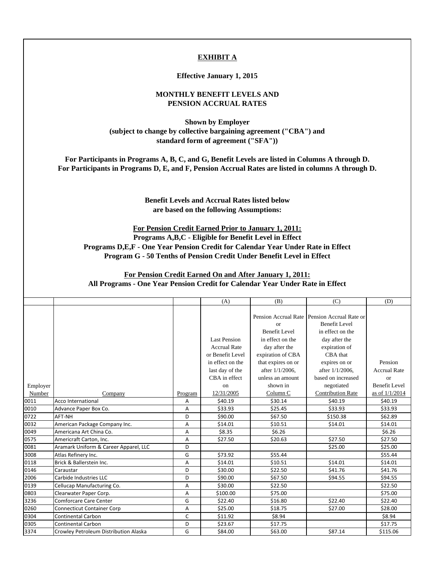#### **EXHIBIT A**

**Effective January 1, 2015**

#### **MONTHLY BENEFIT LEVELS AND PENSION ACCRUAL RATES**

**Shown by Employer (subject to change by collective bargaining agreement ("CBA") and standard form of agreement ("SFA"))**

**For Participants in Programs A, B, C, and G, Benefit Levels are listed in Columns A through D. For Participants in Programs D, E, and F, Pension Accrual Rates are listed in columns A through D.** 

> **Benefit Levels and Accrual Rates listed below are based on the following Assumptions:**

**For Pension Credit Earned Prior to January 1, 2011: Programs A,B,C - Eligible for Benefit Level in Effect Programs D,E,F - One Year Pension Credit for Calendar Year Under Rate in Effect Program G - 50 Tenths of Pension Credit Under Benefit Level in Effect**

**For Pension Credit Earned On and After January 1, 2011: All Programs - One Year Pension Credit for Calendar Year Under Rate in Effect**

|          |                                       |         | (A)                 | (B)                  | (C)                                          | (D)                  |
|----------|---------------------------------------|---------|---------------------|----------------------|----------------------------------------------|----------------------|
|          |                                       |         |                     |                      |                                              |                      |
|          |                                       |         |                     |                      | Pension Accrual Rate Pension Accrual Rate or |                      |
|          |                                       |         |                     | or                   | Benefit Level                                |                      |
|          |                                       |         |                     | <b>Benefit Level</b> | in effect on the                             |                      |
|          |                                       |         | <b>Last Pension</b> | in effect on the     | day after the                                |                      |
|          |                                       |         | <b>Accrual Rate</b> | day after the        | expiration of                                |                      |
|          |                                       |         | or Benefit Level    | expiration of CBA    | CBA that                                     |                      |
|          |                                       |         | in effect on the    | that expires on or   | expires on or                                | Pension              |
|          |                                       |         | last day of the     | after 1/1/2006,      | after 1/1/2006,                              | <b>Accrual Rate</b>  |
|          |                                       |         | CBA in effect       | unless an amount     | based on increased                           | <b>or</b>            |
|          |                                       |         |                     | shown in             | negotiated                                   | <b>Benefit Level</b> |
| Employer |                                       |         | on                  |                      |                                              |                      |
| Number   | Company                               | Program | 12/31/2005          | Column <sub>C</sub>  | <b>Contribution Rate</b>                     | as of $1/1/2014$     |
| 0011     | <b>Acco International</b>             | A       | \$40.19             | \$30.14              | \$40.19                                      | \$40.19              |
| 0010     | Advance Paper Box Co.                 | А       | \$33.93             | \$25.45              | \$33.93                                      | \$33.93              |
| 0722     | AFT-NH                                | D       | \$90.00             | \$67.50              | \$150.38                                     | \$62.89              |
| 0032     | American Package Company Inc.         | Α       | \$14.01             | \$10.51              | \$14.01                                      | \$14.01              |
| 0049     | Americana Art China Co.               | A       | \$8.35              | \$6.26               |                                              | \$6.26               |
| 0575     | Americraft Carton, Inc.               | A       | \$27.50             | \$20.63              | \$27.50                                      | \$27.50              |
| 0081     | Aramark Uniform & Career Apparel, LLC | D       |                     |                      | \$25.00                                      | \$25.00              |
| 3008     | Atlas Refinery Inc.                   | G       | \$73.92             | \$55.44              |                                              | \$55.44              |
| 0118     | Brick & Ballerstein Inc.              | Α       | \$14.01             | \$10.51              | \$14.01                                      | \$14.01              |
| 0146     | Caraustar                             | D       | \$30.00             | \$22.50              | \$41.76                                      | \$41.76              |
| 2006     | Carbide Industries LLC                | D       | \$90.00             | \$67.50              | \$94.55                                      | \$94.55              |
| 0139     | Cellucap Manufacturing Co.            | Α       | \$30.00             | \$22.50              |                                              | \$22.50              |
| 0803     | Clearwater Paper Corp.                | A       | \$100.00            | \$75.00              |                                              | \$75.00              |
| 3236     | <b>Comforcare Care Center</b>         | G       | \$22.40             | \$16.80              | \$22.40                                      | \$22.40              |
| 0260     | <b>Connecticut Container Corp</b>     | Α       | \$25.00             | \$18.75              | \$27.00                                      | \$28.00              |
| 0304     | Continental Carbon                    | C       | \$11.92             | \$8.94               |                                              | \$8.94               |
| 0305     | <b>Continental Carbon</b>             | D       | \$23.67             | \$17.75              |                                              | \$17.75              |
| 3374     | Crowley Petroleum Distribution Alaska | G       | \$84.00             | \$63.00              | \$87.14                                      | \$115.06             |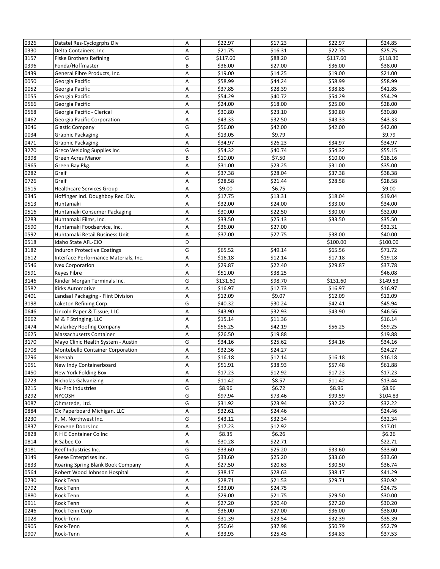| 0326 | Datatel Res-Cyclogrphs Div            | Α | \$22.97  | \$17.23 | \$22.97  | \$24.85  |
|------|---------------------------------------|---|----------|---------|----------|----------|
| 0330 | Delta Containers, Inc.                | Α | \$21.75  | \$16.31 | \$22.75  | \$25.75  |
| 3157 | <b>Fiske Brothers Refining</b>        | G | \$117.60 | \$88.20 | \$117.60 | \$118.30 |
| 0396 | Fonda/Hoffmaster                      | B | \$36.00  | \$27.00 | \$36.00  | \$38.00  |
| 0439 | General Fibre Products, Inc.          | Α | \$19.00  | \$14.25 | \$19.00  | \$21.00  |
| 0050 | Georgia Pacific                       | Α | \$58.99  | \$44.24 | \$58.99  | \$58.99  |
| 0052 | Georgia Pacific                       | A | \$37.85  | \$28.39 | \$38.85  | \$41.85  |
| 0055 | Georgia Pacific                       | Α | \$54.29  | \$40.72 | \$54.29  | \$54.29  |
| 0566 | Georgia Pacific                       | Α | \$24.00  | \$18.00 | \$25.00  | \$28.00  |
| 0568 | Georgia Pacific - Clerical            | Α | \$30.80  | \$23.10 | \$30.80  | \$30.80  |
| 0462 | Georgia Pacific Corporation           | A | \$43.33  | \$32.50 | \$43.33  | \$43.33  |
| 3046 | <b>Glastic Company</b>                | G | \$56.00  | \$42.00 | \$42.00  | \$42.00  |
| 0034 | <b>Graphic Packaging</b>              | Α | \$13.05  | \$9.79  |          | \$9.79   |
| 0471 | <b>Graphic Packaging</b>              | Α | \$34.97  | \$26.23 | \$34.97  | \$34.97  |
| 3270 | Greco Welding Supplies Inc            | G | \$54.32  | \$40.74 | \$54.32  | \$55.15  |
| 0398 | Green Acres Manor                     | B | \$10.00  | \$7.50  | \$10.00  | \$18.16  |
| 0965 | Green Bay Pkg.                        | Α | \$31.00  | \$23.25 | \$31.00  | \$35.00  |
| 0282 | Greif                                 | Α | \$37.38  | \$28.04 | \$37.38  | \$38.38  |
| 0726 | Greif                                 | Α | \$28.58  | \$21.44 | \$28.58  | \$28.58  |
| 0515 | <b>Healthcare Services Group</b>      | Α | \$9.00   | \$6.75  |          | \$9.00   |
| 0345 | Hoffinger Ind. Doughboy Rec. Div.     | Α | \$17.75  | \$13.31 | \$18.04  | \$19.04  |
| 0513 | Huhtamaki                             | Α | \$32.00  | \$24.00 | \$33.00  | \$34.00  |
| 0516 | Huhtamaki Consumer Packaging          | Α | \$30.00  | \$22.50 | \$30.00  | \$32.00  |
| 0283 | Huhtamaki Films, Inc.                 | Α | \$33.50  | \$25.13 | \$33.50  | \$35.50  |
| 0590 | Huhtamaki Foodservice, Inc.           | Α | \$36.00  | \$27.00 |          | \$32.31  |
| 0592 | Huhtamaki Retail Business Unit        | A | \$37.00  | \$27.75 | \$38.00  | \$40.00  |
| 0518 | Idaho State AFL-CIO                   | D |          |         | \$100.00 | \$100.00 |
| 3182 | <b>Induron Protective Coatings</b>    | G | \$65.52  | \$49.14 | \$65.56  | \$71.72  |
| 0612 | Interface Performance Materials, Inc. | Α | \$16.18  | \$12.14 | \$17.18  | \$19.18  |
| 0546 | Ivex Corporation                      | Α | \$29.87  | \$22.40 | \$29.87  | \$37.78  |
| 0591 | Keyes Fibre                           | Α | \$51.00  | \$38.25 |          | \$46.08  |
| 3146 | Kinder Morgan Terminals Inc.          | G | \$131.60 | \$98.70 | \$131.60 | \$149.53 |
| 0582 | Kirks Automotive                      | Α | \$16.97  | \$12.73 | \$16.97  | \$16.97  |
| 0401 | Landaal Packaging - Flint Division    | Α | \$12.09  | \$9.07  | \$12.09  | \$12.09  |
| 3198 | Laketon Refining Corp.                | G | \$40.32  | \$30.24 | \$42.41  | \$45.94  |
| 0646 | Lincoln Paper & Tissue, LLC           | Α | \$43.90  | \$32.93 | \$43.90  | \$46.56  |
| 0662 | M & F Stringing, LLC                  | Α | \$15.14  | \$11.36 |          | \$16.14  |
| 0474 | Malarkey Roofing Company              | Α | \$56.25  | \$42.19 | \$56.25  | \$59.25  |
| 0625 | Massachusetts Container               | Α | \$26.50  | \$19.88 |          | \$19.88  |
| 3170 | Mayo Clinic Health System - Austin    | G | \$34.16  | \$25.62 | \$34.16  | \$34.16  |
| 0708 | Montebello Container Corporation      | Α | \$32.36  | \$24.27 |          | \$24.27  |
| 0796 | Neenah                                | A | \$16.18  | \$12.14 | \$16.18  | \$16.18  |
| 1051 | New Indy Containerboard               | Α | \$51.91  | \$38.93 | \$57.48  | \$61.88  |
| 0450 | New York Folding Box                  | Α | \$17.23  | \$12.92 | \$17.23  | \$17.23  |
| 0723 | Nicholas Galvanizing                  | Α | \$11.42  | \$8.57  | \$11.42  | \$13.44  |
| 3215 | Nu-Pro Industries                     | G | \$8.96   | \$6.72  | \$8.96   | \$8.96   |
| 3292 | <b>NYCOSH</b>                         | G | \$97.94  | \$73.46 | \$99.59  | \$104.83 |
| 3087 | Ohmstede, Ltd.                        | G | \$31.92  | \$23.94 | \$32.22  | \$32.22  |
| 0884 | Ox Paperboard Michigan, LLC           | Α | \$32.61  | \$24.46 |          | \$24.46  |
| 3230 | P. M. Northwest Inc.                  | G | \$43.12  | \$32.34 |          | \$32.34  |
| 0837 | Porvene Doors Inc                     | Α | \$17.23  | \$12.92 |          | \$17.01  |
| 0828 | R H E Container Co Inc                | Α | \$8.35   | \$6.26  |          | \$6.26   |
| 0814 | R Sabee Co                            | Α | \$30.28  | \$22.71 |          | \$22.71  |
| 3181 | Reef Industries Inc.                  | G | \$33.60  | \$25.20 | \$33.60  | \$33.60  |
| 3149 | Reese Enterprises Inc.                | G | \$33.60  | \$25.20 | \$33.60  | \$33.60  |
| 0833 | Roaring Spring Blank Book Company     | Α | \$27.50  | \$20.63 | \$30.50  | \$36.74  |
| 0564 | Robert Wood Johnson Hospital          | Α | \$38.17  | \$28.63 | \$38.17  | \$41.29  |
| 0730 | Rock Tenn                             | Α | \$28.71  | \$21.53 | \$29.71  | \$30.92  |
| 0792 | Rock Tenn                             | Α | \$33.00  | \$24.75 |          | \$24.75  |
| 0880 | Rock Tenn                             | Α | \$29.00  | \$21.75 | \$29.50  | \$30.00  |
| 0911 | Rock Tenn                             | Α | \$27.20  | \$20.40 | \$27.20  | \$30.20  |
| 0246 | Rock Tenn Corp                        | А | \$36.00  | \$27.00 | \$36.00  | \$38.00  |
| 0028 | Rock-Tenn                             | Α | \$31.39  | \$23.54 | \$32.39  | \$35.39  |
| 0905 | Rock-Tenn                             | Α | \$50.64  | \$37.98 | \$50.79  | \$52.79  |
| 0907 | Rock-Tenn                             | Α | \$33.93  | \$25.45 | \$34.83  | \$37.53  |